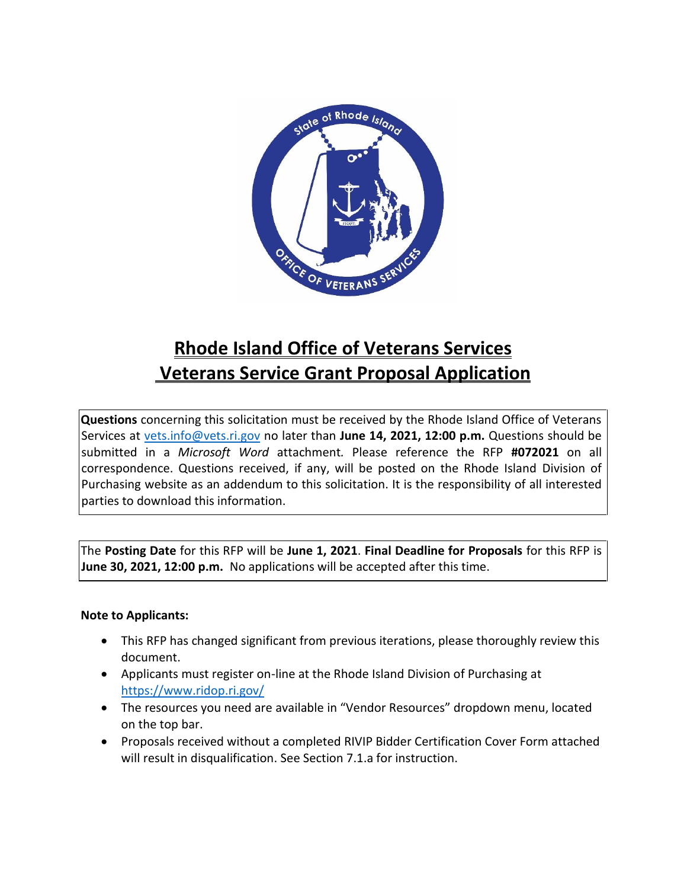

# **Rhode Island Office of Veterans Services Veterans Service Grant Proposal Application**

**Questions** concerning this solicitation must be received by the Rhode Island Office of Veterans Services at [vets.info@vets.ri.gov](mailto:vets.info@vets.ri.gov) no later than **June 14, 2021, 12:00 p.m.** Questions should be submitted in a *Microsoft Word* attachment*.* Please reference the RFP **#072021** on all correspondence. Questions received, if any, will be posted on the Rhode Island Division of Purchasing website as an addendum to this solicitation. It is the responsibility of all interested parties to download this information.

The **Posting Date** for this RFP will be **June 1, 2021**. **Final Deadline for Proposals** for this RFP is **June 30, 2021, 12:00 p.m.** No applications will be accepted after this time.

#### **Note to Applicants:**

- This RFP has changed significant from previous iterations, please thoroughly review this document.
- Applicants must register on-line at the Rhode Island Division of Purchasing at <https://www.ridop.ri.gov/>
- The resources you need are available in "Vendor Resources" dropdown menu, located on the top bar.
- Proposals received without a completed RIVIP Bidder Certification Cover Form attached will result in disqualification. See Section 7.1.a for instruction.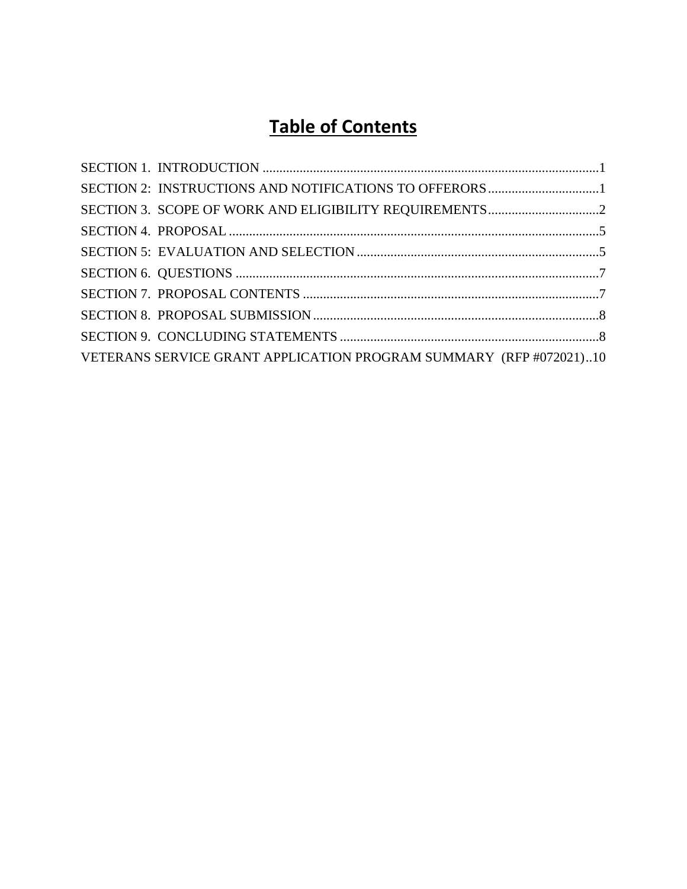# **Table of Contents**

| VETERANS SERVICE GRANT APPLICATION PROGRAM SUMMARY (RFP #072021)10 |  |
|--------------------------------------------------------------------|--|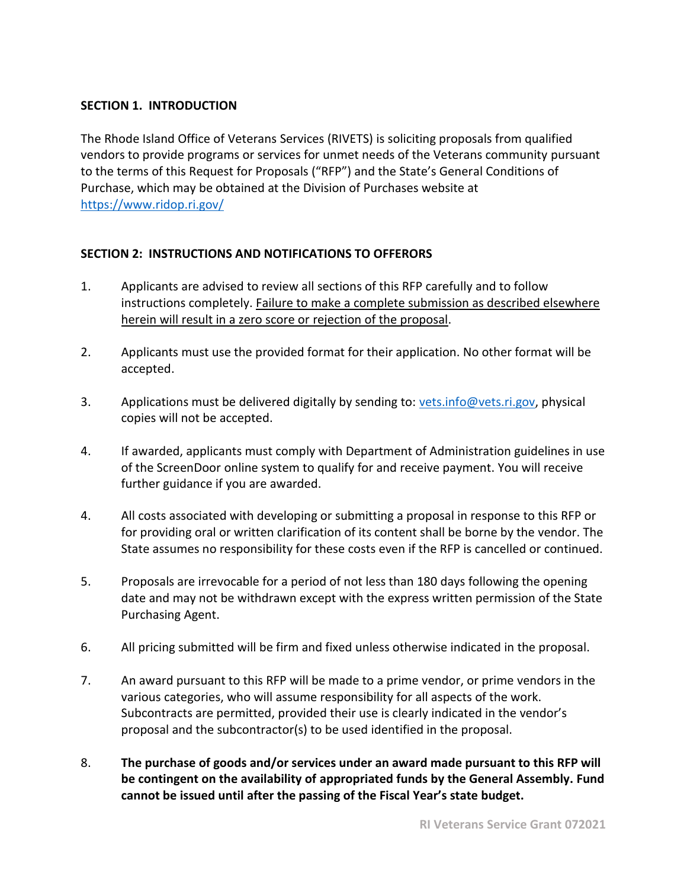## <span id="page-2-0"></span>**SECTION 1. INTRODUCTION**

The Rhode Island Office of Veterans Services (RIVETS) is soliciting proposals from qualified vendors to provide programs or services for unmet needs of the Veterans community pursuant to the terms of this Request for Proposals ("RFP") and the State's General Conditions of Purchase, which may be obtained at the Division of Purchases website at <https://www.ridop.ri.gov/>

# <span id="page-2-1"></span>**SECTION 2: INSTRUCTIONS AND NOTIFICATIONS TO OFFERORS**

- 1. Applicants are advised to review all sections of this RFP carefully and to follow instructions completely. Failure to make a complete submission as described elsewhere herein will result in a zero score or rejection of the proposal.
- 2. Applicants must use the provided format for their application. No other format will be accepted.
- 3. Applications must be delivered digitally by sending to: [vets.info@vets.ri.gov,](mailto:vets.info@vets.ri.gov) physical copies will not be accepted.
- 4. If awarded, applicants must comply with Department of Administration guidelines in use of the ScreenDoor online system to qualify for and receive payment. You will receive further guidance if you are awarded.
- 4. All costs associated with developing or submitting a proposal in response to this RFP or for providing oral or written clarification of its content shall be borne by the vendor. The State assumes no responsibility for these costs even if the RFP is cancelled or continued.
- 5. Proposals are irrevocable for a period of not less than 180 days following the opening date and may not be withdrawn except with the express written permission of the State Purchasing Agent.
- 6. All pricing submitted will be firm and fixed unless otherwise indicated in the proposal.
- 7. An award pursuant to this RFP will be made to a prime vendor, or prime vendors in the various categories, who will assume responsibility for all aspects of the work. Subcontracts are permitted, provided their use is clearly indicated in the vendor's proposal and the subcontractor(s) to be used identified in the proposal.
- 8. **The purchase of goods and/or services under an award made pursuant to this RFP will be contingent on the availability of appropriated funds by the General Assembly. Fund cannot be issued until after the passing of the Fiscal Year's state budget.**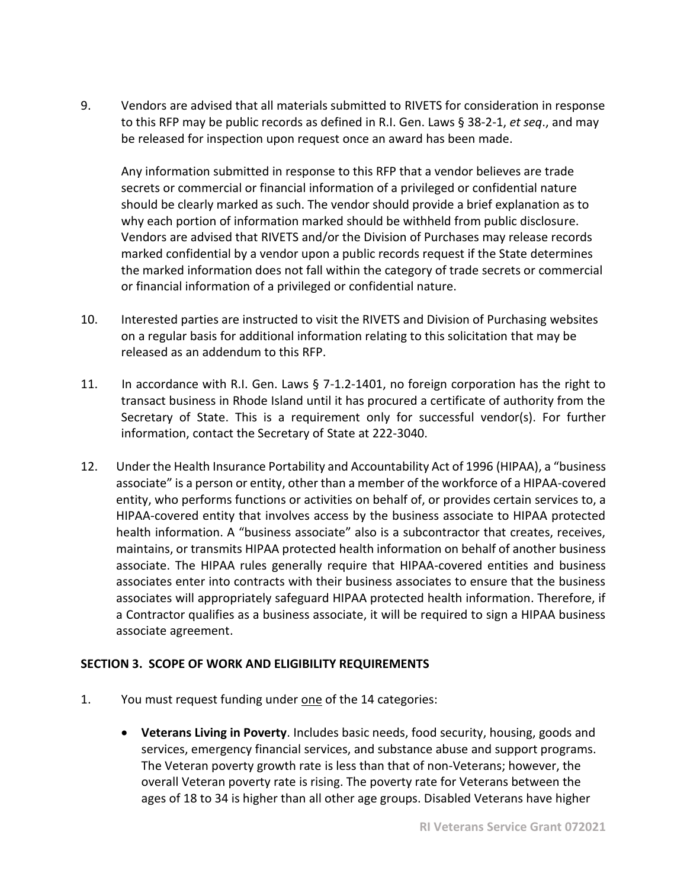9. Vendors are advised that all materials submitted to RIVETS for consideration in response to this RFP may be public records as defined in R.I. Gen. Laws § 38-2-1, *et seq*., and may be released for inspection upon request once an award has been made.

Any information submitted in response to this RFP that a vendor believes are trade secrets or commercial or financial information of a privileged or confidential nature should be clearly marked as such. The vendor should provide a brief explanation as to why each portion of information marked should be withheld from public disclosure. Vendors are advised that RIVETS and/or the Division of Purchases may release records marked confidential by a vendor upon a public records request if the State determines the marked information does not fall within the category of trade secrets or commercial or financial information of a privileged or confidential nature.

- 10. Interested parties are instructed to visit the RIVETS and Division of Purchasing websites on a regular basis for additional information relating to this solicitation that may be released as an addendum to this RFP.
- 11. In accordance with R.I. Gen. Laws § 7-1.2-1401, no foreign corporation has the right to transact business in Rhode Island until it has procured a certificate of authority from the Secretary of State. This is a requirement only for successful vendor(s). For further information, contact the Secretary of State at 222-3040.
- 12. Under the Health Insurance Portability and Accountability Act of 1996 (HIPAA), a "business associate" is a person or entity, other than a member of the workforce of a HIPAA-covered entity, who performs functions or activities on behalf of, or provides certain services to, a HIPAA-covered entity that involves access by the business associate to HIPAA protected health information. A "business associate" also is a subcontractor that creates, receives, maintains, or transmits HIPAA protected health information on behalf of another business associate. The HIPAA rules generally require that HIPAA-covered entities and business associates enter into contracts with their business associates to ensure that the business associates will appropriately safeguard HIPAA protected health information. Therefore, if a Contractor qualifies as a business associate, it will be required to sign a HIPAA business associate agreement.

#### <span id="page-3-0"></span>**SECTION 3. SCOPE OF WORK AND ELIGIBILITY REQUIREMENTS**

- 1. You must request funding under one of the 14 categories:
	- **Veterans Living in Poverty**. Includes basic needs, food security, housing, goods and services, emergency financial services, and substance abuse and support programs. The Veteran poverty growth rate is less than that of non-Veterans; however, the overall Veteran poverty rate is rising. The poverty rate for Veterans between the ages of 18 to 34 is higher than all other age groups. Disabled Veterans have higher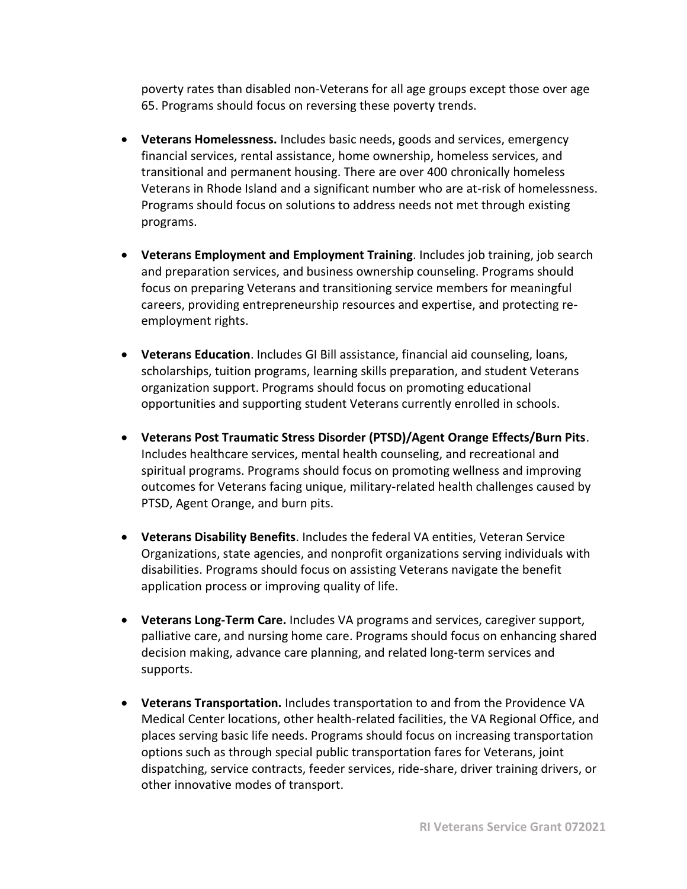poverty rates than disabled non-Veterans for all age groups except those over age 65. Programs should focus on reversing these poverty trends.

- **Veterans Homelessness.** Includes basic needs, goods and services, emergency financial services, rental assistance, home ownership, homeless services, and transitional and permanent housing. There are over 400 chronically homeless Veterans in Rhode Island and a significant number who are at-risk of homelessness. Programs should focus on solutions to address needs not met through existing programs.
- **Veterans Employment and Employment Training**. Includes job training, job search and preparation services, and business ownership counseling. Programs should focus on preparing Veterans and transitioning service members for meaningful careers, providing entrepreneurship resources and expertise, and protecting reemployment rights.
- **Veterans Education**. Includes GI Bill assistance, financial aid counseling, loans, scholarships, tuition programs, learning skills preparation, and student Veterans organization support. Programs should focus on promoting educational opportunities and supporting student Veterans currently enrolled in schools.
- **Veterans Post Traumatic Stress Disorder (PTSD)/Agent Orange Effects/Burn Pits**. Includes healthcare services, mental health counseling, and recreational and spiritual programs. Programs should focus on promoting wellness and improving outcomes for Veterans facing unique, military-related health challenges caused by PTSD, Agent Orange, and burn pits.
- **Veterans Disability Benefits**. Includes the federal VA entities, Veteran Service Organizations, state agencies, and nonprofit organizations serving individuals with disabilities. Programs should focus on assisting Veterans navigate the benefit application process or improving quality of life.
- **Veterans Long-Term Care.** Includes VA programs and services, caregiver support, palliative care, and nursing home care. Programs should focus on enhancing shared decision making, advance care planning, and related long-term services and supports.
- **Veterans Transportation.** Includes transportation to and from the Providence VA Medical Center locations, other health-related facilities, the VA Regional Office, and places serving basic life needs. Programs should focus on increasing transportation options such as through special public transportation fares for Veterans, joint dispatching, service contracts, feeder services, ride-share, driver training drivers, or other innovative modes of transport.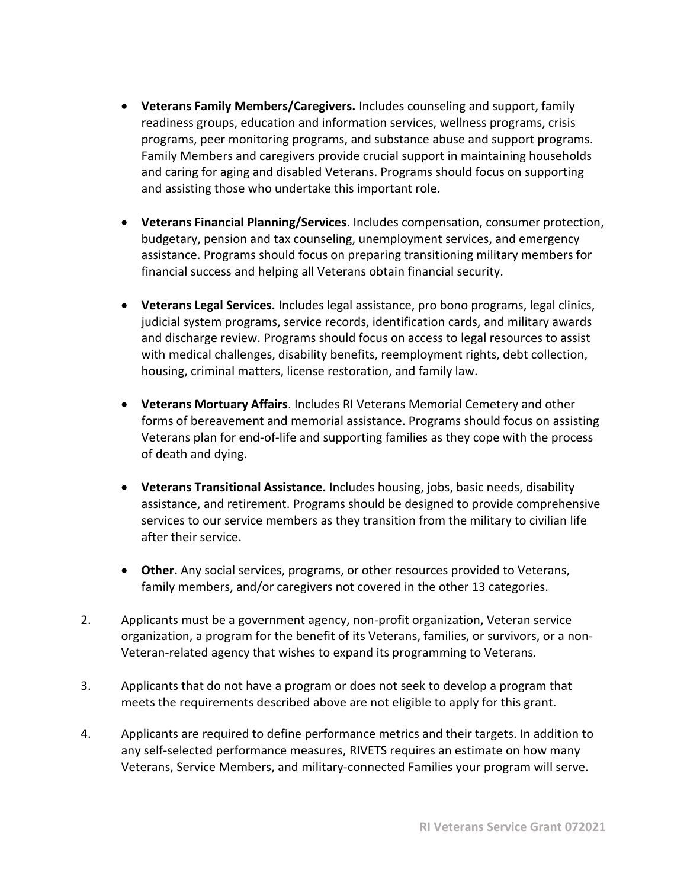- **Veterans Family Members/Caregivers.** Includes counseling and support, family readiness groups, education and information services, wellness programs, crisis programs, peer monitoring programs, and substance abuse and support programs. Family Members and caregivers provide crucial support in maintaining households and caring for aging and disabled Veterans. Programs should focus on supporting and assisting those who undertake this important role.
- **Veterans Financial Planning/Services**. Includes compensation, consumer protection, budgetary, pension and tax counseling, unemployment services, and emergency assistance. Programs should focus on preparing transitioning military members for financial success and helping all Veterans obtain financial security.
- **Veterans Legal Services.** Includes legal assistance, pro bono programs, legal clinics, judicial system programs, service records, identification cards, and military awards and discharge review. Programs should focus on access to legal resources to assist with medical challenges, disability benefits, reemployment rights, debt collection, housing, criminal matters, license restoration, and family law.
- **Veterans Mortuary Affairs**. Includes RI Veterans Memorial Cemetery and other forms of bereavement and memorial assistance. Programs should focus on assisting Veterans plan for end-of-life and supporting families as they cope with the process of death and dying.
- **Veterans Transitional Assistance.** Includes housing, jobs, basic needs, disability assistance, and retirement. Programs should be designed to provide comprehensive services to our service members as they transition from the military to civilian life after their service.
- **Other.** Any social services, programs, or other resources provided to Veterans, family members, and/or caregivers not covered in the other 13 categories.
- 2. Applicants must be a government agency, non-profit organization, Veteran service organization, a program for the benefit of its Veterans, families, or survivors, or a non-Veteran-related agency that wishes to expand its programming to Veterans.
- 3. Applicants that do not have a program or does not seek to develop a program that meets the requirements described above are not eligible to apply for this grant.
- 4. Applicants are required to define performance metrics and their targets. In addition to any self-selected performance measures, RIVETS requires an estimate on how many Veterans, Service Members, and military-connected Families your program will serve.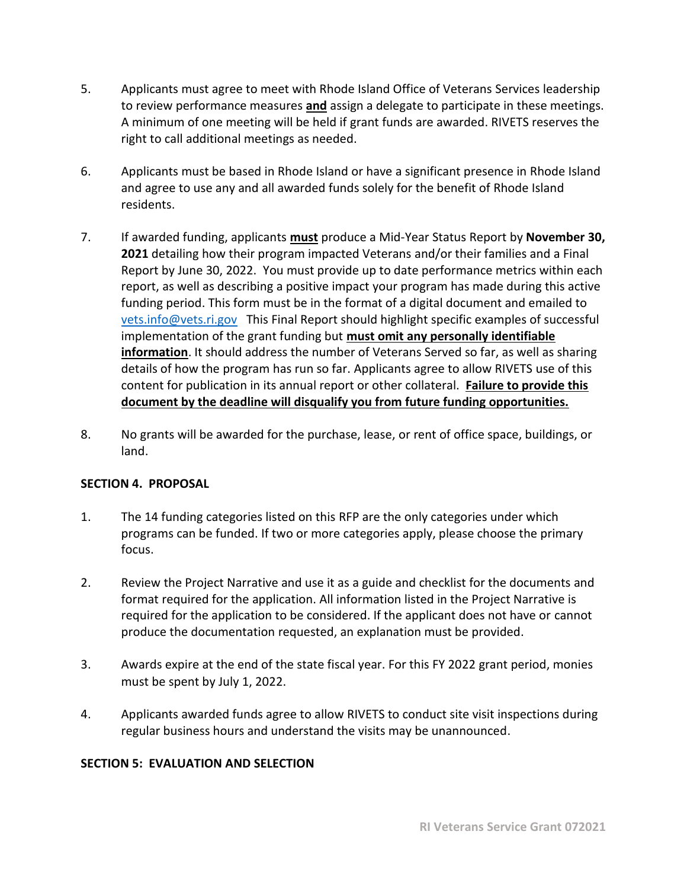- 5. Applicants must agree to meet with Rhode Island Office of Veterans Services leadership to review performance measures **and** assign a delegate to participate in these meetings. A minimum of one meeting will be held if grant funds are awarded. RIVETS reserves the right to call additional meetings as needed.
- 6. Applicants must be based in Rhode Island or have a significant presence in Rhode Island and agree to use any and all awarded funds solely for the benefit of Rhode Island residents.
- 7. If awarded funding, applicants **must** produce a Mid-Year Status Report by **November 30, 2021** detailing how their program impacted Veterans and/or their families and a Final Report by June 30, 2022. You must provide up to date performance metrics within each report, as well as describing a positive impact your program has made during this active funding period. This form must be in the format of a digital document and emailed to [vets.info@vets.ri.gov](mailto:vets.info@vets.ri.gov) This Final Report should highlight specific examples of successful implementation of the grant funding but **must omit any personally identifiable information**. It should address the number of Veterans Served so far, as well as sharing details of how the program has run so far. Applicants agree to allow RIVETS use of this content for publication in its annual report or other collateral. **Failure to provide this document by the deadline will disqualify you from future funding opportunities.**
- 8. No grants will be awarded for the purchase, lease, or rent of office space, buildings, or land.

#### <span id="page-6-0"></span>**SECTION 4. PROPOSAL**

- 1. The 14 funding categories listed on this RFP are the only categories under which programs can be funded. If two or more categories apply, please choose the primary focus.
- 2. Review the Project Narrative and use it as a guide and checklist for the documents and format required for the application. All information listed in the Project Narrative is required for the application to be considered. If the applicant does not have or cannot produce the documentation requested, an explanation must be provided.
- 3. Awards expire at the end of the state fiscal year. For this FY 2022 grant period, monies must be spent by July 1, 2022.
- 4. Applicants awarded funds agree to allow RIVETS to conduct site visit inspections during regular business hours and understand the visits may be unannounced.

#### <span id="page-6-1"></span>**SECTION 5: EVALUATION AND SELECTION**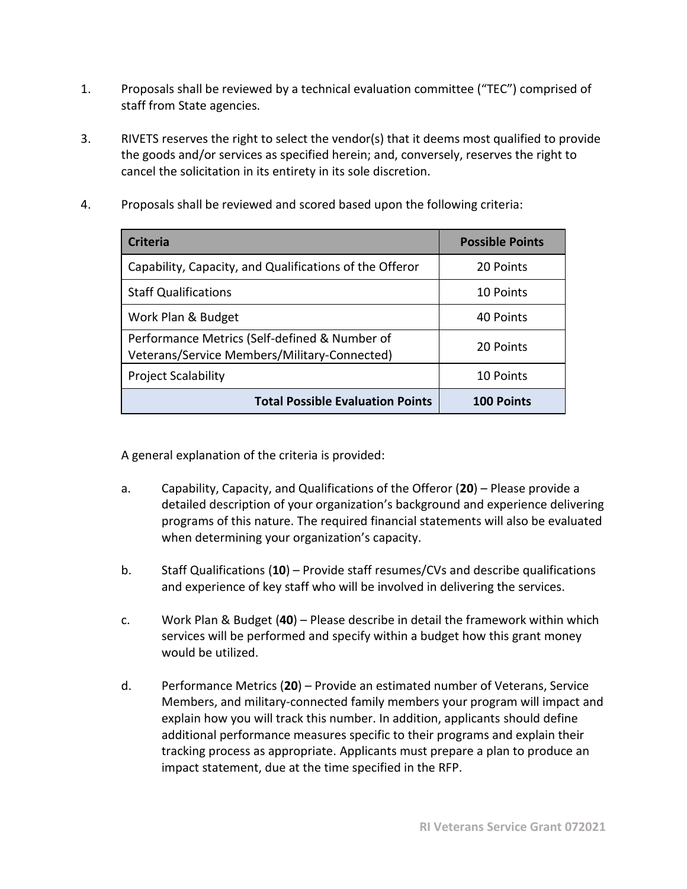- 1. Proposals shall be reviewed by a technical evaluation committee ("TEC") comprised of staff from State agencies.
- 3. RIVETS reserves the right to select the vendor(s) that it deems most qualified to provide the goods and/or services as specified herein; and, conversely, reserves the right to cancel the solicitation in its entirety in its sole discretion.
- 4. Proposals shall be reviewed and scored based upon the following criteria:

| <b>Criteria</b>                                                                               | <b>Possible Points</b> |
|-----------------------------------------------------------------------------------------------|------------------------|
| Capability, Capacity, and Qualifications of the Offeror                                       | 20 Points              |
| <b>Staff Qualifications</b>                                                                   | 10 Points              |
| Work Plan & Budget                                                                            | 40 Points              |
| Performance Metrics (Self-defined & Number of<br>Veterans/Service Members/Military-Connected) | 20 Points              |
| <b>Project Scalability</b>                                                                    | 10 Points              |
| <b>Total Possible Evaluation Points</b>                                                       | <b>100 Points</b>      |

A general explanation of the criteria is provided:

- a. Capability, Capacity, and Qualifications of the Offeror (**20**) Please provide a detailed description of your organization's background and experience delivering programs of this nature. The required financial statements will also be evaluated when determining your organization's capacity.
- b. Staff Qualifications (**10**) Provide staff resumes/CVs and describe qualifications and experience of key staff who will be involved in delivering the services.
- c. Work Plan & Budget (**40**) Please describe in detail the framework within which services will be performed and specify within a budget how this grant money would be utilized.
- d. Performance Metrics (**20**) Provide an estimated number of Veterans, Service Members, and military-connected family members your program will impact and explain how you will track this number. In addition, applicants should define additional performance measures specific to their programs and explain their tracking process as appropriate. Applicants must prepare a plan to produce an impact statement, due at the time specified in the RFP.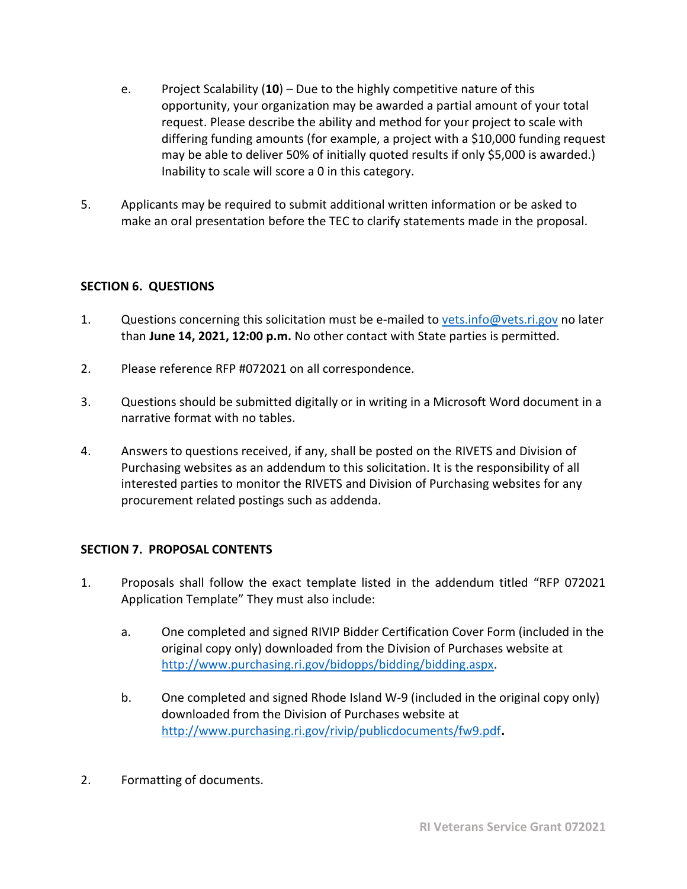- e. Project Scalability (**10**) Due to the highly competitive nature of this opportunity, your organization may be awarded a partial amount of your total request. Please describe the ability and method for your project to scale with differing funding amounts (for example, a project with a \$10,000 funding request may be able to deliver 50% of initially quoted results if only \$5,000 is awarded.) Inability to scale will score a 0 in this category.
- 5. Applicants may be required to submit additional written information or be asked to make an oral presentation before the TEC to clarify statements made in the proposal.

# <span id="page-8-0"></span>**SECTION 6. QUESTIONS**

- 1. Questions concerning this solicitation must be e-mailed to [vets.info@vets.ri.gov](mailto:vets.info@vets.ri.gov) no later than **June 14, 2021, 12:00 p.m.** No other contact with State parties is permitted.
- 2. Please reference RFP #072021 on all correspondence.
- 3. Questions should be submitted digitally or in writing in a Microsoft Word document in a narrative format with no tables.
- 4. Answers to questions received, if any, shall be posted on the RIVETS and Division of Purchasing websites as an addendum to this solicitation. It is the responsibility of all interested parties to monitor the RIVETS and Division of Purchasing websites for any procurement related postings such as addenda.

# <span id="page-8-1"></span>**SECTION 7. PROPOSAL CONTENTS**

- 1. Proposals shall follow the exact template listed in the addendum titled "RFP 072021 Application Template" They must also include:
	- a. One completed and signed RIVIP Bidder Certification Cover Form (included in the original copy only) downloaded from the Division of Purchases website at [http://www.purchasing.ri.gov/bidopps/bidding/bidding.aspx.](http://www.purchasing.ri.gov/bidopps/bidding/bidding.aspx)
	- b. One completed and signed Rhode Island W-9 (included in the original copy only) downloaded from the Division of Purchases website at <http://www.purchasing.ri.gov/rivip/publicdocuments/fw9.pdf>**.**
- 2. Formatting of documents.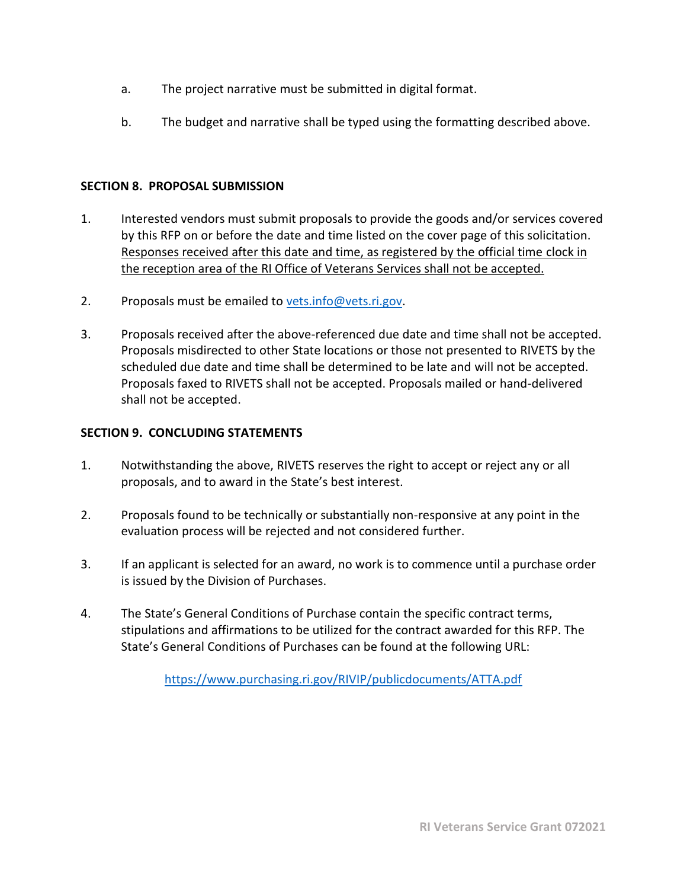- a. The project narrative must be submitted in digital format.
- b. The budget and narrative shall be typed using the formatting described above.

#### <span id="page-9-0"></span>**SECTION 8. PROPOSAL SUBMISSION**

- 1. Interested vendors must submit proposals to provide the goods and/or services covered by this RFP on or before the date and time listed on the cover page of this solicitation. Responses received after this date and time, as registered by the official time clock in the reception area of the RI Office of Veterans Services shall not be accepted.
- 2. Proposals must be emailed to [vets.info@vets.ri.gov.](mailto:vets.info@vets.ri.gov)
- 3. Proposals received after the above-referenced due date and time shall not be accepted. Proposals misdirected to other State locations or those not presented to RIVETS by the scheduled due date and time shall be determined to be late and will not be accepted. Proposals faxed to RIVETS shall not be accepted. Proposals mailed or hand-delivered shall not be accepted.

# <span id="page-9-1"></span>**SECTION 9. CONCLUDING STATEMENTS**

- 1. Notwithstanding the above, RIVETS reserves the right to accept or reject any or all proposals, and to award in the State's best interest.
- 2. Proposals found to be technically or substantially non-responsive at any point in the evaluation process will be rejected and not considered further.
- 3. If an applicant is selected for an award, no work is to commence until a purchase order is issued by the Division of Purchases.
- 4. The State's General Conditions of Purchase contain the specific contract terms, stipulations and affirmations to be utilized for the contract awarded for this RFP. The State's General Conditions of Purchases can be found at the following URL:

<https://www.purchasing.ri.gov/RIVIP/publicdocuments/ATTA.pdf>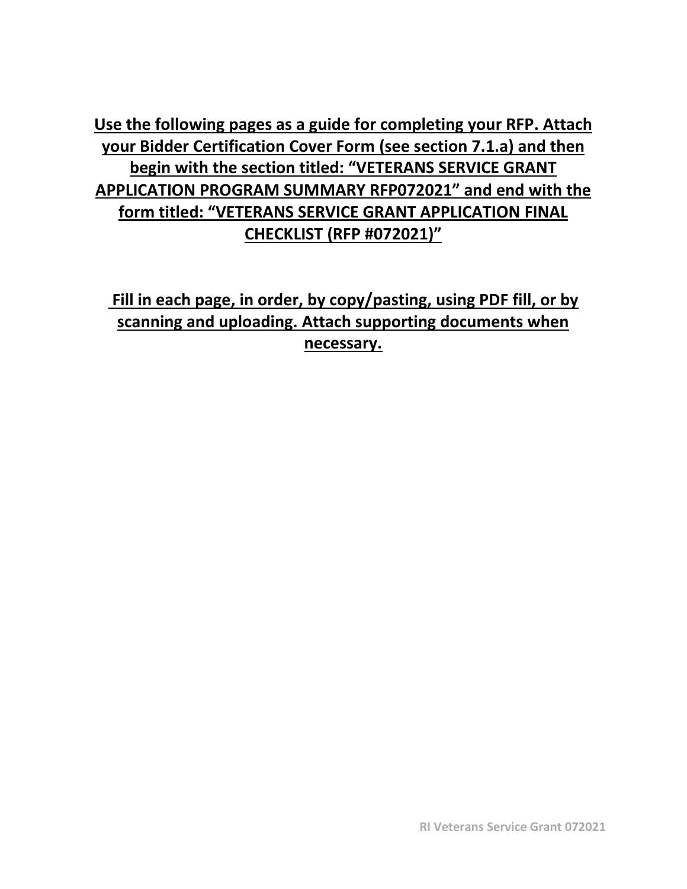**Use the following pages as a guide for completing your RFP. Attach your Bidder Certification Cover Form (see section 7.1.a) and then begin with the section titled: "VETERANS SERVICE GRANT APPLICATION PROGRAM SUMMARY RFP072021" and end with the form titled: "VETERANS SERVICE GRANT APPLICATION FINAL CHECKLIST (RFP #072021)"**

**Fill in each page, in order, by copy/pasting, using PDF fill, or by scanning and uploading. Attach supporting documents when necessary.**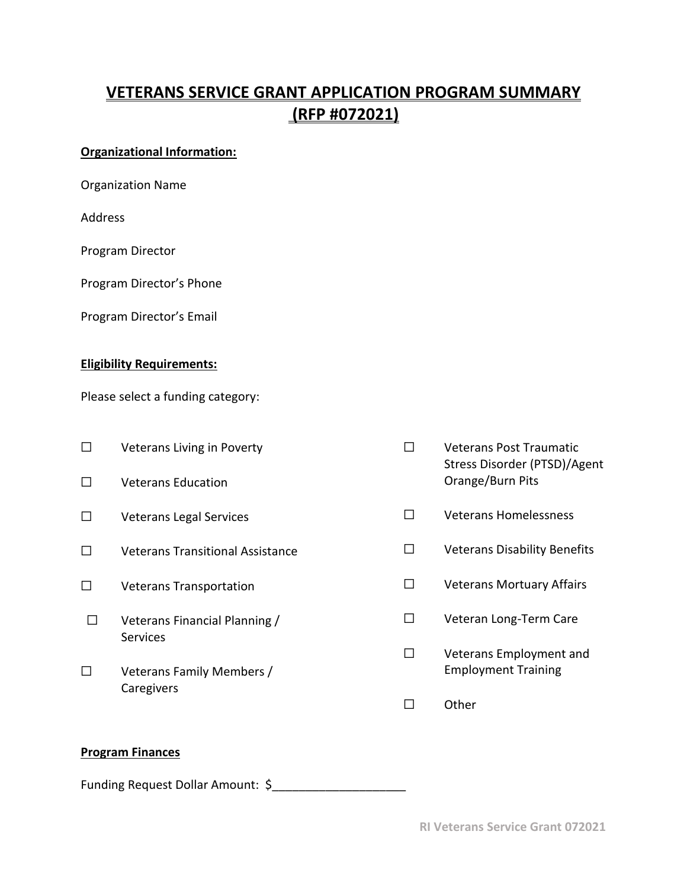# <span id="page-11-0"></span>**VETERANS SERVICE GRANT APPLICATION PROGRAM SUMMARY (RFP #072021)**

# **Organizational Information:**

|  | <b>Organization Name</b> |  |
|--|--------------------------|--|
|--|--------------------------|--|

Address

Program Director

Program Director's Phone

Program Director's Email

## **Eligibility Requirements:**

Please select a funding category:

| Veterans Living in Poverty<br><b>Veterans Education</b>    |   | <b>Veterans Post Traumatic</b><br>Stress Disorder (PTSD)/Agent<br>Orange/Burn Pits |
|------------------------------------------------------------|---|------------------------------------------------------------------------------------|
| <b>Veterans Legal Services</b>                             | П | Veterans Homelessness                                                              |
| <b>Veterans Transitional Assistance</b>                    | П | <b>Veterans Disability Benefits</b>                                                |
| <b>Veterans Transportation</b>                             | П | <b>Veterans Mortuary Affairs</b>                                                   |
| Veterans Financial Planning /                              | □ | Veteran Long-Term Care                                                             |
| <b>Services</b><br>Veterans Family Members /<br>Caregivers | П | Veterans Employment and<br><b>Employment Training</b>                              |
|                                                            |   | Other                                                                              |

#### **Program Finances**

Funding Request Dollar Amount: \$\_\_\_\_\_\_\_\_\_\_\_\_\_\_\_\_\_\_\_\_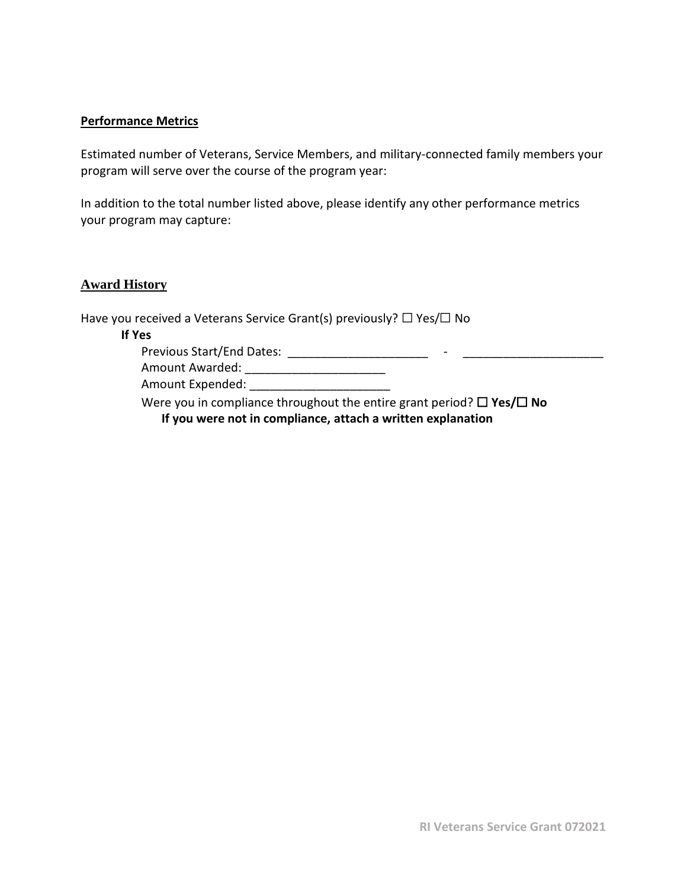#### **Performance Metrics**

Estimated number of Veterans, Service Members, and military-connected family members your program will serve over the course of the program year:

In addition to the total number listed above, please identify any other performance metrics your program may capture:

#### **Award History**

Have you received a Veterans Service Grant(s) previously?  $\Box$  Yes/ $\Box$  No

#### **If Yes**

Previous Start/End Dates: \_\_\_\_\_\_\_\_\_\_\_\_\_\_\_\_\_\_\_\_\_ - \_\_\_\_\_\_\_\_\_\_\_\_\_\_\_\_\_\_\_\_\_

Amount Awarded: \_\_\_\_\_\_\_\_\_\_\_\_\_\_\_\_\_\_\_\_\_

Amount Expended: \_\_\_\_\_\_\_\_\_\_\_\_\_\_\_\_\_\_\_\_\_

Were you in compliance throughout the entire grant period? ☐ **Yes/**☐ **No If you were not in compliance, attach a written explanation**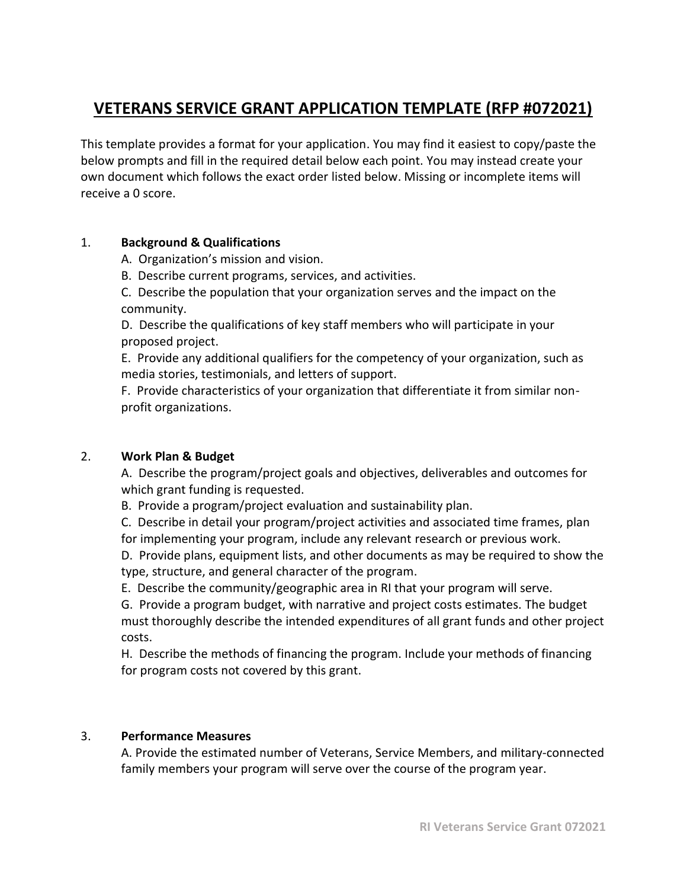# **VETERANS SERVICE GRANT APPLICATION TEMPLATE (RFP #072021)**

This template provides a format for your application. You may find it easiest to copy/paste the below prompts and fill in the required detail below each point. You may instead create your own document which follows the exact order listed below. Missing or incomplete items will receive a 0 score.

### 1. **Background & Qualifications**

- A. Organization's mission and vision.
- B. Describe current programs, services, and activities.

C. Describe the population that your organization serves and the impact on the community.

D. Describe the qualifications of key staff members who will participate in your proposed project.

E. Provide any additional qualifiers for the competency of your organization, such as media stories, testimonials, and letters of support.

F. Provide characteristics of your organization that differentiate it from similar nonprofit organizations.

# 2. **Work Plan & Budget**

A. Describe the program/project goals and objectives, deliverables and outcomes for which grant funding is requested.

B. Provide a program/project evaluation and sustainability plan.

C. Describe in detail your program/project activities and associated time frames, plan for implementing your program, include any relevant research or previous work.

D. Provide plans, equipment lists, and other documents as may be required to show the type, structure, and general character of the program.

E. Describe the community/geographic area in RI that your program will serve.

G. Provide a program budget, with narrative and project costs estimates. The budget must thoroughly describe the intended expenditures of all grant funds and other project costs.

H. Describe the methods of financing the program. Include your methods of financing for program costs not covered by this grant.

#### 3. **Performance Measures**

A. Provide the estimated number of Veterans, Service Members, and military-connected family members your program will serve over the course of the program year.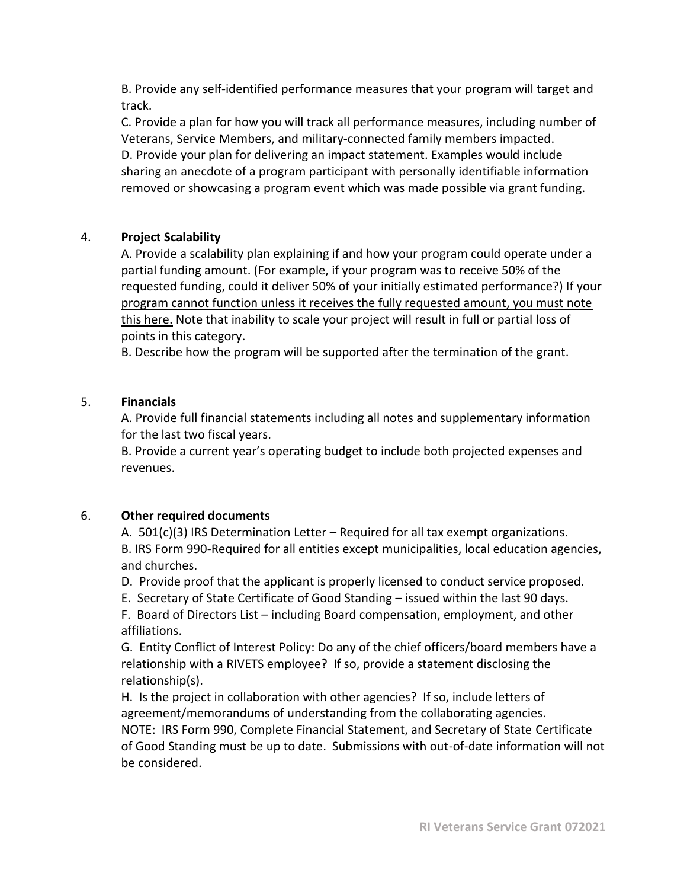B. Provide any self-identified performance measures that your program will target and track.

C. Provide a plan for how you will track all performance measures, including number of Veterans, Service Members, and military-connected family members impacted. D. Provide your plan for delivering an impact statement. Examples would include sharing an anecdote of a program participant with personally identifiable information removed or showcasing a program event which was made possible via grant funding.

# 4. **Project Scalability**

A. Provide a scalability plan explaining if and how your program could operate under a partial funding amount. (For example, if your program was to receive 50% of the requested funding, could it deliver 50% of your initially estimated performance?) If your program cannot function unless it receives the fully requested amount, you must note this here. Note that inability to scale your project will result in full or partial loss of points in this category.

B. Describe how the program will be supported after the termination of the grant.

# 5. **Financials**

A. Provide full financial statements including all notes and supplementary information for the last two fiscal years.

B. Provide a current year's operating budget to include both projected expenses and revenues.

# 6. **Other required documents**

A.  $501(c)(3)$  IRS Determination Letter – Required for all tax exempt organizations. B. IRS Form 990-Required for all entities except municipalities, local education agencies, and churches.

D. Provide proof that the applicant is properly licensed to conduct service proposed.

E. Secretary of State Certificate of Good Standing – issued within the last 90 days.

F. Board of Directors List – including Board compensation, employment, and other affiliations.

G. Entity Conflict of Interest Policy: Do any of the chief officers/board members have a relationship with a RIVETS employee? If so, provide a statement disclosing the relationship(s).

H. Is the project in collaboration with other agencies? If so, include letters of agreement/memorandums of understanding from the collaborating agencies. NOTE: IRS Form 990, Complete Financial Statement, and Secretary of State Certificate of Good Standing must be up to date. Submissions with out-of-date information will not be considered.